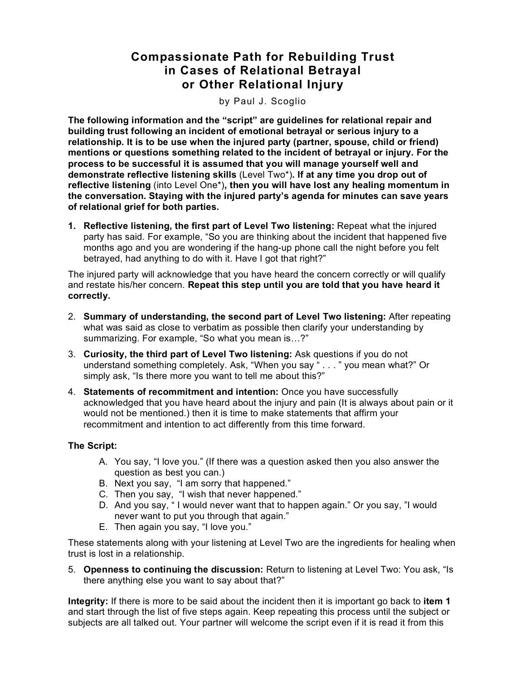## **Compassionate Path for Rebuilding Trust in Cases of Relational Betrayal or Other Relational Injury**

by Paul J. Scoglio

**The following information and the "script" are guidelines for relational repair and building trust following an incident of emotional betrayal or serious injury to a relationship. It is to be use when the injured party (partner, spouse, child or friend) mentions or questions something related to the incident of betrayal or injury. For the process to be successful it is assumed that you will manage yourself well and demonstrate reflective listening skills** (Level Two\*)**. If at any time you drop out of reflective listening** (into Level One\*)**, then you will have lost any healing momentum in the conversation. Staying with the injured party's agenda for minutes can save years of relational grief for both parties.**

**1. Reflective listening, the first part of Level Two listening:** Repeat what the injured party has said. For example, "So you are thinking about the incident that happened five months ago and you are wondering if the hang-up phone call the night before you felt betrayed, had anything to do with it. Have I got that right?"

The injured party will acknowledge that you have heard the concern correctly or will qualify and restate his/her concern. **Repeat this step until you are told that you have heard it correctly.**

- 2. **Summary of understanding, the second part of Level Two listening:** After repeating what was said as close to verbatim as possible then clarify your understanding by summarizing. For example, "So what you mean is…?"
- 3. **Curiosity, the third part of Level Two listening:** Ask questions if you do not understand something completely. Ask, "When you say " . . . " you mean what?" Or simply ask, "Is there more you want to tell me about this?"
- 4. **Statements of recommitment and intention:** Once you have successfully acknowledged that you have heard about the injury and pain (It is always about pain or it would not be mentioned.) then it is time to make statements that affirm your recommitment and intention to act differently from this time forward.

## **The Script:**

- A. You say, "I love you." (If there was a question asked then you also answer the question as best you can.)
- B. Next you say, "I am sorry that happened."
- C. Then you say, "I wish that never happened."
- D. And you say, " I would never want that to happen again." Or you say, "I would never want to put you through that again."
- E. Then again you say, "I love you."

These statements along with your listening at Level Two are the ingredients for healing when trust is lost in a relationship.

5. **Openness to continuing the discussion:** Return to listening at Level Two: You ask, "Is there anything else you want to say about that?"

**Integrity:** If there is more to be said about the incident then it is important go back to **item 1** and start through the list of five steps again. Keep repeating this process until the subject or subjects are all talked out. Your partner will welcome the script even if it is read it from this